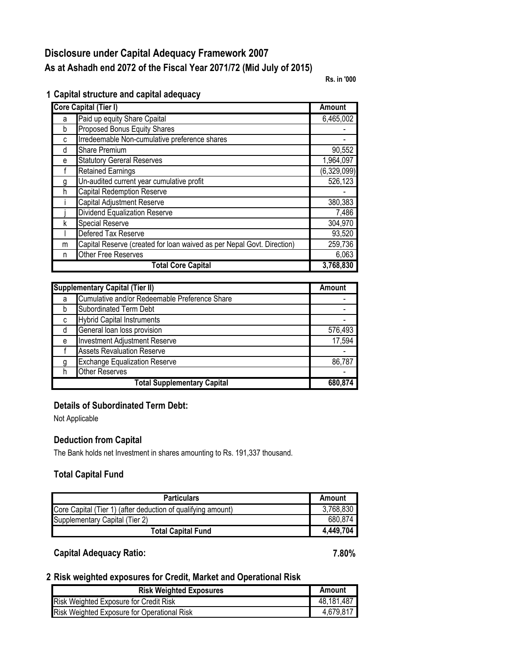# **Disclosure under Capital Adequacy Framework 2007 As at Ashadh end 2072 of the Fiscal Year 2071/72 (Mid July of 2015)**

**Rs. in '000**

|  |  |  | 1 Capital structure and capital adequacy |  |  |  |  |
|--|--|--|------------------------------------------|--|--|--|--|
|--|--|--|------------------------------------------|--|--|--|--|

| <b>Core Capital (Tier I)</b> |                                                                        |             |
|------------------------------|------------------------------------------------------------------------|-------------|
| a                            | Paid up equity Share Cpaital                                           | 6,465,002   |
| b                            | Proposed Bonus Equity Shares                                           |             |
| C                            | Irredeemable Non-cumulative preference shares                          |             |
| d                            | <b>Share Premium</b>                                                   | 90,552      |
| е                            | <b>Statutory Gereral Reserves</b>                                      | 1,964,097   |
|                              | <b>Retained Earnings</b>                                               | (6,329,099) |
| g                            | Un-audited current year cumulative profit                              | 526,123     |
| h                            | <b>Capital Redemption Reserve</b>                                      |             |
|                              | Capital Adjustment Reserve                                             | 380,383     |
|                              | Dividend Equalization Reserve                                          | 7,486       |
| k                            | <b>Special Reserve</b>                                                 | 304,970     |
|                              | Defered Tax Reserve                                                    | 93,520      |
| m                            | Capital Reserve (created for loan waived as per Nepal Govt. Direction) | 259,736     |
| n                            | Other Free Reserves                                                    | 6,063       |
|                              | <b>Total Core Capital</b>                                              | 3,768,830   |

| <b>Supplementary Capital (Tier II)</b> | <b>Amount</b>                                 |         |
|----------------------------------------|-----------------------------------------------|---------|
| a                                      | Cumulative and/or Redeemable Preference Share |         |
|                                        | Subordinated Term Debt                        |         |
| C                                      | <b>Hybrid Capital Instruments</b>             |         |
|                                        | General loan loss provision                   | 576,493 |
| e                                      | <b>Investment Adjustment Reserve</b>          | 17,594  |
|                                        | <b>Assets Revaluation Reserve</b>             |         |
|                                        | <b>Exchange Equalization Reserve</b>          | 86,787  |
|                                        | <b>Other Reserves</b>                         |         |
|                                        | 680.874                                       |         |

#### **Details of Subordinated Term Debt:**

Not Applicable

#### **Deduction from Capital**

The Bank holds net Investment in shares amounting to Rs. 191,337 thousand.

### **Total Capital Fund**

| <b>Particulars</b>                                           | Amount    |
|--------------------------------------------------------------|-----------|
| Core Capital (Tier 1) (after deduction of qualifying amount) | 3,768,830 |
| Supplementary Capital (Tier 2)                               | 680,874   |
| Total Capital Fund                                           | 4,449,704 |

### **Capital Adequacy Ratio: 7.80%**

#### **2 Risk weighted exposures for Credit, Market and Operational Risk**

| <b>Risk Weighted Exposures</b>                | Amount     |
|-----------------------------------------------|------------|
| <b>Risk Weighted Exposure for Credit Risk</b> | 48,181,487 |
| Risk Weighted Exposure for Operational Risk   | 4,679,817  |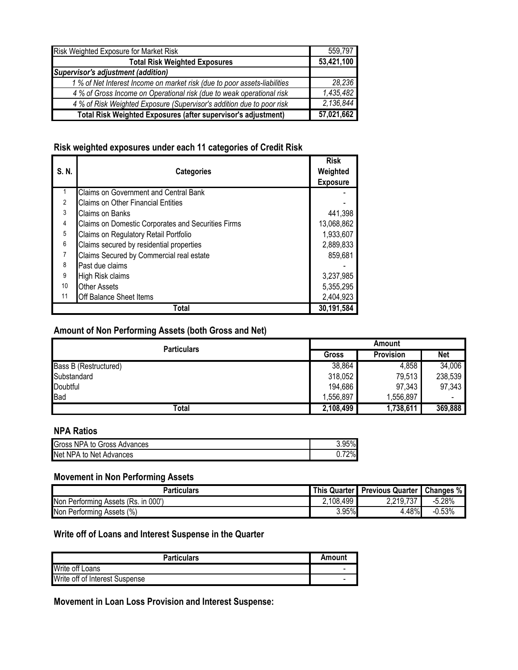| Risk Weighted Exposure for Market Risk                                    | 559,797    |
|---------------------------------------------------------------------------|------------|
| <b>Total Risk Weighted Exposures</b>                                      | 53,421,100 |
| <b>Supervisor's adjustment (addition)</b>                                 |            |
| 1 % of Net Interest Income on market risk (due to poor assets-liabilities | 28,236     |
| 4 % of Gross Income on Operational risk (due to weak operational risk     | 1,435,482  |
| 4 % of Risk Weighted Exposure (Supervisor's addition due to poor risk     | 2,136,844  |
| Total Risk Weighted Exposures (after supervisor's adjustment)             | 57,021,662 |

## **Risk weighted exposures under each 11 categories of Credit Risk**

| S. N.           | <b>Categories</b>                                  | <b>Risk</b><br>Weighted<br><b>Exposure</b> |
|-----------------|----------------------------------------------------|--------------------------------------------|
|                 | <b>Claims on Government and Central Bank</b>       |                                            |
| $\overline{2}$  | <b>Claims on Other Financial Entities</b>          |                                            |
| 3               | Claims on Banks                                    | 441,398                                    |
| $\overline{4}$  | Claims on Domestic Corporates and Securities Firms | 13,068,862                                 |
| $\sqrt{5}$      | Claims on Regulatory Retail Portfolio              | 1,933,607                                  |
| $6\phantom{a}$  | Claims secured by residential properties           | 2,889,833                                  |
| 7               | Claims Secured by Commercial real estate           | 859,681                                    |
| 8               | Past due claims                                    |                                            |
| 9               | High Risk claims                                   | 3,237,985                                  |
| 10 <sup>°</sup> | <b>Other Assets</b>                                | 5,355,295                                  |
| 11              | Off Balance Sheet Items                            | 2,404,923                                  |
|                 | 30,191,584                                         |                                            |

### **Amount of Non Performing Assets (both Gross and Net)**

| <b>Particulars</b>    | Amount    |                  |            |
|-----------------------|-----------|------------------|------------|
|                       | Gross     | <b>Provision</b> | <b>Net</b> |
| Bass B (Restructured) | 38,864    | 4,858            | 34,006     |
| Substandard           | 318,052   | 79,513           | 238,539    |
| Doubtful              | 194,686   | 97,343           | 97,343     |
| <b>Bad</b>            | 1,556,897 | 1,556,897        |            |
| Total                 | 2,108,499 | 1,738,611        | 369,888    |

#### **NPA Ratios**

| Gross<br>NPA to Gross Advances د             | 70. |
|----------------------------------------------|-----|
| Net<br>Advances<br><b>NPA</b><br>Net /<br>to | 70  |

## **Movement in Non Performing Assets**

| <b>Particulars</b>                             | This $\overline{\phantom{a}}$<br>. Quarter I | Previous Quarter   Changes % |          |
|------------------------------------------------|----------------------------------------------|------------------------------|----------|
| Non<br>000"<br>Assets (Rs.<br>Performing<br>ın | 2,108,499                                    | 707<br>2,219,7<br>ا گ        | $-5.28%$ |
| Non Performing<br>Assets (%)                   | 3.95%                                        | 4.48%                        | $-0.53%$ |

### **Write off of Loans and Interest Suspense in the Quarter**

| <b>Particulars</b>             | Amount |
|--------------------------------|--------|
| Write off Loans                |        |
| Write off of Interest Suspense |        |

## **Movement in Loan Loss Provision and Interest Suspense:**